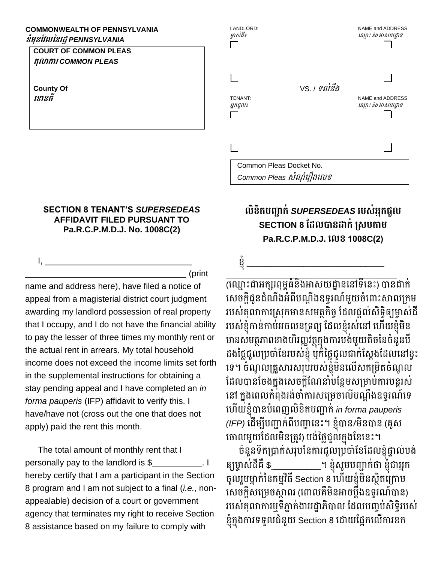## **COMMONWEALTH OF PENNSYLVANIA ខំមុនវែលននរដ្ឋ***PENNSYLVANIA*

## **COURT OF COMMON PLEAS តុលាការ** *COMMON PLEAS*

**County Of ខ ានធី**

 $I, \underline{\hspace{1cm}}$ 

## **SECTION 8 TENANT'S** *SUPERSEDEAS*  **AFFIDAVIT FILED PURSUANT TO Pa.R.C.P.M.D.J. No. 1008C(2)**

\_\_\_\_\_\_\_\_\_\_\_\_\_\_\_\_\_\_\_\_\_\_\_\_\_\_\_\_\_\_\_\_\_\_ (print

name and address here), have filed a notice of appeal from a magisterial district court judgment awarding my landlord possession of real property that I occupy, and I do not have the financial ability to pay the lesser of three times my monthly rent or the actual rent in arrears. My total household income does not exceed the income limits set forth in the supplemental instructions for obtaining a stay pending appeal and I have completed an *in forma pauperis* (IFP) affidavit to verify this. I have/have not (cross out the one that does not apply) paid the rent this month.

The total amount of monthly rent that I personally pay to the landlord is \$\_\_\_\_\_\_\_\_\_\_. I hereby certify that I am a participant in the Section 8 program and I am not subject to a final (*i.e.*, nonappealable) decision of a court or government agency that terminates my right to receive Section 8 assistance based on my failure to comply with

| LANDLORD:<br>ម្ចាស់ដឹ៖     |                     | NAME and ADDRESS<br>ឈ្មោះ និង អាសយដ្ឋាន |
|----------------------------|---------------------|-----------------------------------------|
| <b>TENANT:</b><br>អ្នកជួល៖ | vs. <i>เ รល់នឹង</i> | NAME and ADDRESS<br>ឈ្មោះ និង អាសយដ្ឋាន |
|                            |                     |                                         |
| Common Pleas Docket No.    |                     |                                         |

## **លិខិតបញ្ជាក់** *SUPERSEDEAS* **របស់អ្នកជួល SECTION 8 ដែលបានដាក់ ស្សបតាម Pa.R.C.P.M.D.J. ខលខ 1008C(2)**

ខ្ញុំ \_\_\_\_\_\_\_\_\_\_\_\_\_\_\_\_\_\_\_\_\_\_\_\_\_\_\_\_\_

Common Pleas *សំណុំរឿងលេខ* 

\_\_\_\_\_\_\_\_\_\_\_\_\_\_\_\_\_\_\_\_\_\_\_\_\_\_\_\_\_\_\_\_\_\_\_\_ (ឈ្មោះជាអក្សរពុម្ពធនងអាសយដ្ឋាននៅទនេះ) បានដាក សេចក្តីជូនដំណឹងអំពីបណ្តឹងឧទ្ធរណ៍មួយចំពោះសាលក្រម របស់តុលាការស្រុកមានសមត្ថកិច្ច ដែលផ្ដល់សិទ្ធិឲ្យម្ចាស់ដី របស់ខ្ញុំកាន់កាប់អចលនទ្រព្យ ដែលខ្ញុំរស់នៅ ហើយខ្ញុំមិន មានសមត្ថភាពខាងហិរញ្ញវត្ថុក្នុងការបង់មួយតិចនៃចំនួនបី ដងនៃ្លជួលប្រចាំខែរបស់ខ្ញុំ ឬក៏នៃ្លៃជួលជាក់ស្តែងដែលនៅខ្វះ ឈទ។ ចុំណូលក្រួសារសរុបរបស់ខ្ញុំម្ិនឈលើសកក្ម្ិតចុំណូល ដែលបានចែងក្នុងសេចក្តីណែនាំបន្ថែមសម្រាប់ការបន្តរស់ នៅ ក្នុងពេលកំពុងរង់ចាំការសម្រេចលើបណ្តឹងឧទ្ធរណ៍ទេ ឈ ើយខ្ញុំបានបុំឈពញលិខិតបញ្ជាក់ *in forma pauperis (IFP)* ឈដើម្បីបញ្ជាក់ពីបញ្ហាឈនោះ។ ខ្ញុំបាន/ម្ិនបាន (រូស ចោលមួយដែលមិនត្រូវ) បង់ថ្លៃជួលក្នុងខែនេះ។

ចុំនួនទឹកក្បាក់សរុបននការជួលក្បចាុំដខដដលខ្ញុំផ្ទាល់បង់ ឲ្យម្ចាស់ដីរឺ \$ \_\_\_\_\_\_\_\_\_\_។ ខ្ញុំសូម្បញ្ជាក់ថា ខ្ញុំជាអ្នក ចូលរួមម្នាក់នៃកម្មវិធី Section 8 ហើយខ្ញុំមិនស្ថិតក្រោម សេចក្តីសម្រេចស្តាពរ (ពោលគឺមិនអាចប្តឹងឧទ្ធរណ៍បាន) របស់តុលាការឬទីភ្នាក់ងាររដ្ឋាភិបាល ដែលបញ្ចប់សិទ្ធិរបស់ ខ្ញុំក្នុងការទទួលជំនួយ Section 8 ដោយផ្អែកលើការខក